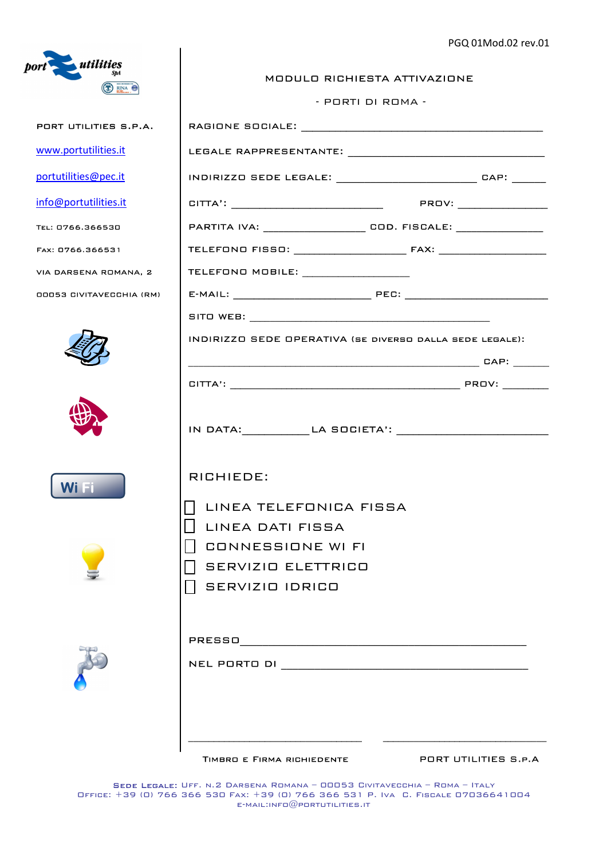

| MODULO RICHIESTA ATTIVAZIONE |  |
|------------------------------|--|
|------------------------------|--|

- PORTI DI ROMA -

| PORT UTILITIES S.P.A.           |                                                                |                      |
|---------------------------------|----------------------------------------------------------------|----------------------|
| www.portutilities.it            |                                                                |                      |
| portutilities@pec.it            | INDIRIZZO SEDE LEGALE: ___________________________ CAP: ______ |                      |
| info@portutilities.it           |                                                                |                      |
| TEL: 0766.366530                |                                                                |                      |
| FAX: 0766.366531                |                                                                |                      |
| VIA DARSENA ROMANA, 2           | TELEFONO MOBILE: _________________                             |                      |
| <b>OOO53 CIVITAVECCHIA (RM)</b> |                                                                |                      |
|                                 |                                                                |                      |
|                                 | INDIRIZZO SEDE OPERATIVA (SE DIVERSO DALLA SEDE LEGALE):       |                      |
|                                 |                                                                |                      |
|                                 |                                                                |                      |
|                                 |                                                                |                      |
| Wi Fi                           | RICHIEDE:                                                      |                      |
|                                 | UNEA TELEFONICA FISSA                                          |                      |
|                                 | I LINEA DATI FISSA<br>     CONNESSIONE WI FI                   |                      |
|                                 | SERVIZIO ELETTRICO                                             |                      |
|                                 | SERVIZIO IDRICO                                                |                      |
|                                 |                                                                |                      |
|                                 | TIMBRO E FIRMA RICHIEDENTE                                     | PORT UTILITIES S.P.A |

Sede Legale: Uff. n.2 Darsena Romana – 00053 Civitavecchia – Roma – Italy Office: +39 (0) 766 366 530 Fax: +39 (0) 766 366 531 P. Iva C. Fiscale 07036641004  $E$ -MAIL:INFO $@$ PORTUTILITIES.IT